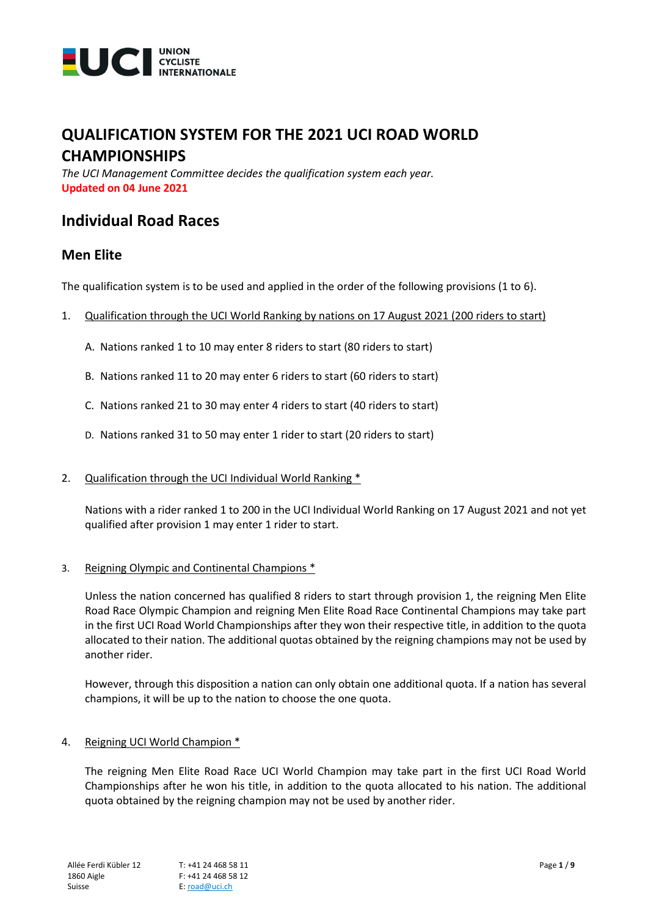

# **QUALIFICATION SYSTEM FOR THE 2021 UCI ROAD WORLD CHAMPIONSHIPS**

*The UCI Management Committee decides the qualification system each year.* **Updated on 04 June 2021**

# **Individual Road Races**

# **Men Elite**

The qualification system is to be used and applied in the order of the following provisions (1 to 6).

- 1. Qualification through the UCI World Ranking by nations on 17 August 2021 (200 riders to start)
	- A. Nations ranked 1 to 10 may enter 8 riders to start (80 riders to start)
	- B. Nations ranked 11 to 20 may enter 6 riders to start (60 riders to start)
	- C. Nations ranked 21 to 30 may enter 4 riders to start (40 riders to start)
	- D. Nations ranked 31 to 50 may enter 1 rider to start (20 riders to start)
- 2. Qualification through the UCI Individual World Ranking \*

Nations with a rider ranked 1 to 200 in the UCI Individual World Ranking on 17 August 2021 and not yet qualified after provision 1 may enter 1 rider to start.

#### 3. Reigning Olympic and Continental Champions \*

Unless the nation concerned has qualified 8 riders to start through provision 1, the reigning Men Elite Road Race Olympic Champion and reigning Men Elite Road Race Continental Champions may take part in the first UCI Road World Championships after they won their respective title, in addition to the quota allocated to their nation. The additional quotas obtained by the reigning champions may not be used by another rider.

However, through this disposition a nation can only obtain one additional quota. If a nation has several champions, it will be up to the nation to choose the one quota.

#### 4. Reigning UCI World Champion \*

The reigning Men Elite Road Race UCI World Champion may take part in the first UCI Road World Championships after he won his title, in addition to the quota allocated to his nation. The additional quota obtained by the reigning champion may not be used by another rider.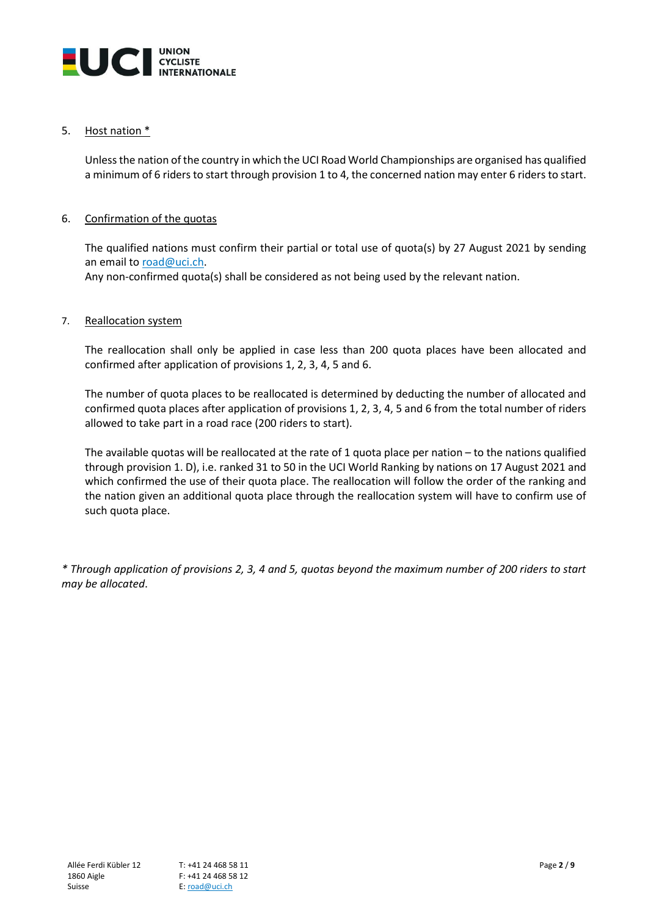

## 5. Host nation \*

Unless the nation of the country in which the UCI Road World Championships are organised has qualified a minimum of 6 riders to start through provision 1 to 4, the concerned nation may enter 6 riders to start.

## 6. Confirmation of the quotas

The qualified nations must confirm their partial or total use of quota(s) by 27 August 2021 by sending an email t[o road@uci.ch.](mailto:road@uci.ch)

Any non-confirmed quota(s) shall be considered as not being used by the relevant nation.

## 7. Reallocation system

The reallocation shall only be applied in case less than 200 quota places have been allocated and confirmed after application of provisions 1, 2, 3, 4, 5 and 6.

The number of quota places to be reallocated is determined by deducting the number of allocated and confirmed quota places after application of provisions 1, 2, 3, 4, 5 and 6 from the total number of riders allowed to take part in a road race (200 riders to start).

The available quotas will be reallocated at the rate of 1 quota place per nation – to the nations qualified through provision 1. D), i.e. ranked 31 to 50 in the UCI World Ranking by nations on 17 August 2021 and which confirmed the use of their quota place. The reallocation will follow the order of the ranking and the nation given an additional quota place through the reallocation system will have to confirm use of such quota place.

*\* Through application of provisions 2, 3, 4 and 5, quotas beyond the maximum number of 200 riders to start may be allocated*.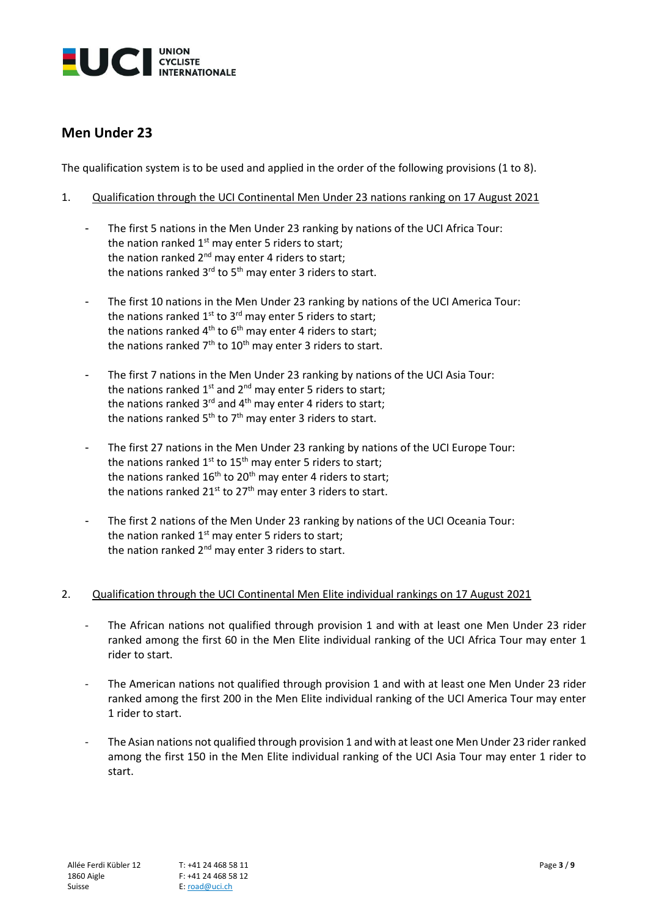

# **Men Under 23**

The qualification system is to be used and applied in the order of the following provisions (1 to 8).

- 1. Qualification through the UCI Continental Men Under 23 nations ranking on 17 August 2021
	- The first 5 nations in the Men Under 23 ranking by nations of the UCI Africa Tour: the nation ranked  $1<sup>st</sup>$  may enter 5 riders to start; the nation ranked  $2^{nd}$  may enter 4 riders to start; the nations ranked 3<sup>rd</sup> to 5<sup>th</sup> may enter 3 riders to start.
	- The first 10 nations in the Men Under 23 ranking by nations of the UCI America Tour: the nations ranked 1<sup>st</sup> to 3<sup>rd</sup> may enter 5 riders to start; the nations ranked 4<sup>th</sup> to 6<sup>th</sup> may enter 4 riders to start; the nations ranked 7<sup>th</sup> to 10<sup>th</sup> may enter 3 riders to start.
	- The first 7 nations in the Men Under 23 ranking by nations of the UCI Asia Tour: the nations ranked  $1^{st}$  and  $2^{nd}$  may enter 5 riders to start; the nations ranked 3<sup>rd</sup> and 4<sup>th</sup> may enter 4 riders to start; the nations ranked 5<sup>th</sup> to 7<sup>th</sup> may enter 3 riders to start.
	- The first 27 nations in the Men Under 23 ranking by nations of the UCI Europe Tour: the nations ranked 1<sup>st</sup> to 15<sup>th</sup> may enter 5 riders to start; the nations ranked  $16<sup>th</sup>$  to  $20<sup>th</sup>$  may enter 4 riders to start; the nations ranked  $21^{st}$  to  $27^{th}$  may enter 3 riders to start.
	- The first 2 nations of the Men Under 23 ranking by nations of the UCI Oceania Tour: the nation ranked  $1<sup>st</sup>$  may enter 5 riders to start; the nation ranked 2<sup>nd</sup> may enter 3 riders to start.

## 2. Qualification through the UCI Continental Men Elite individual rankings on 17 August 2021

- The African nations not qualified through provision 1 and with at least one Men Under 23 rider ranked among the first 60 in the Men Elite individual ranking of the UCI Africa Tour may enter 1 rider to start.
- The American nations not qualified through provision 1 and with at least one Men Under 23 rider ranked among the first 200 in the Men Elite individual ranking of the UCI America Tour may enter 1 rider to start.
- The Asian nations not qualified through provision 1 and with at least one Men Under 23 rider ranked among the first 150 in the Men Elite individual ranking of the UCI Asia Tour may enter 1 rider to start.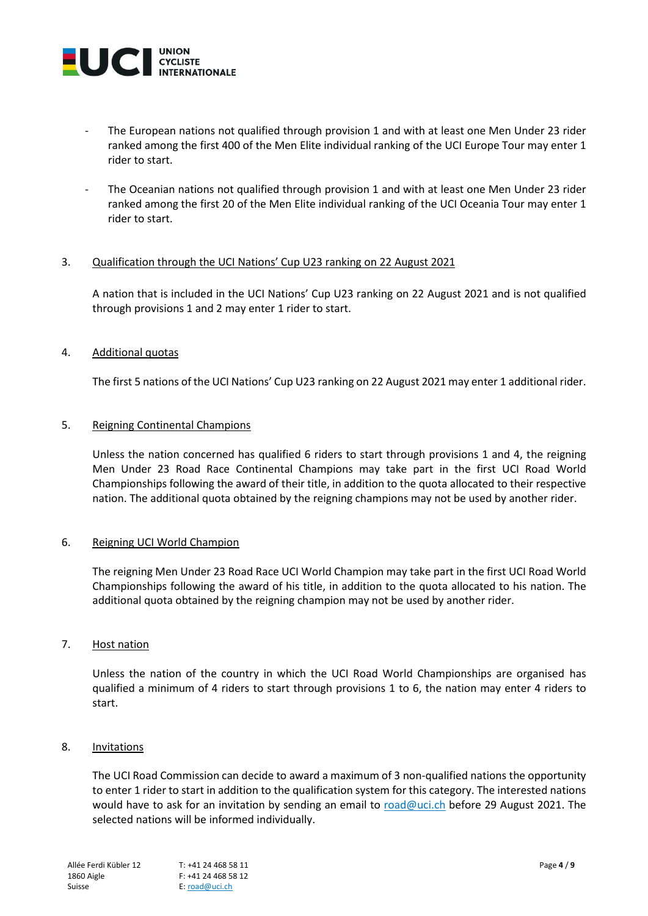

- The European nations not qualified through provision 1 and with at least one Men Under 23 rider ranked among the first 400 of the Men Elite individual ranking of the UCI Europe Tour may enter 1 rider to start.
- The Oceanian nations not qualified through provision 1 and with at least one Men Under 23 rider ranked among the first 20 of the Men Elite individual ranking of the UCI Oceania Tour may enter 1 rider to start.

## 3. Qualification through the UCI Nations' Cup U23 ranking on 22 August 2021

A nation that is included in the UCI Nations' Cup U23 ranking on 22 August 2021 and is not qualified through provisions 1 and 2 may enter 1 rider to start.

## 4. Additional quotas

The first 5 nations of the UCI Nations' Cup U23 ranking on 22 August 2021 may enter 1 additional rider.

#### 5. Reigning Continental Champions

Unless the nation concerned has qualified 6 riders to start through provisions 1 and 4, the reigning Men Under 23 Road Race Continental Champions may take part in the first UCI Road World Championships following the award of their title, in addition to the quota allocated to their respective nation. The additional quota obtained by the reigning champions may not be used by another rider.

## 6. Reigning UCI World Champion

The reigning Men Under 23 Road Race UCI World Champion may take part in the first UCI Road World Championships following the award of his title, in addition to the quota allocated to his nation. The additional quota obtained by the reigning champion may not be used by another rider.

#### 7. Host nation

Unless the nation of the country in which the UCI Road World Championships are organised has qualified a minimum of 4 riders to start through provisions 1 to 6, the nation may enter 4 riders to start.

## 8. Invitations

The UCI Road Commission can decide to award a maximum of 3 non-qualified nations the opportunity to enter 1 rider to start in addition to the qualification system for this category. The interested nations would have to ask for an invitation by sending an email to [road@uci.ch](mailto:road@uci.ch) before 29 August 2021. The selected nations will be informed individually.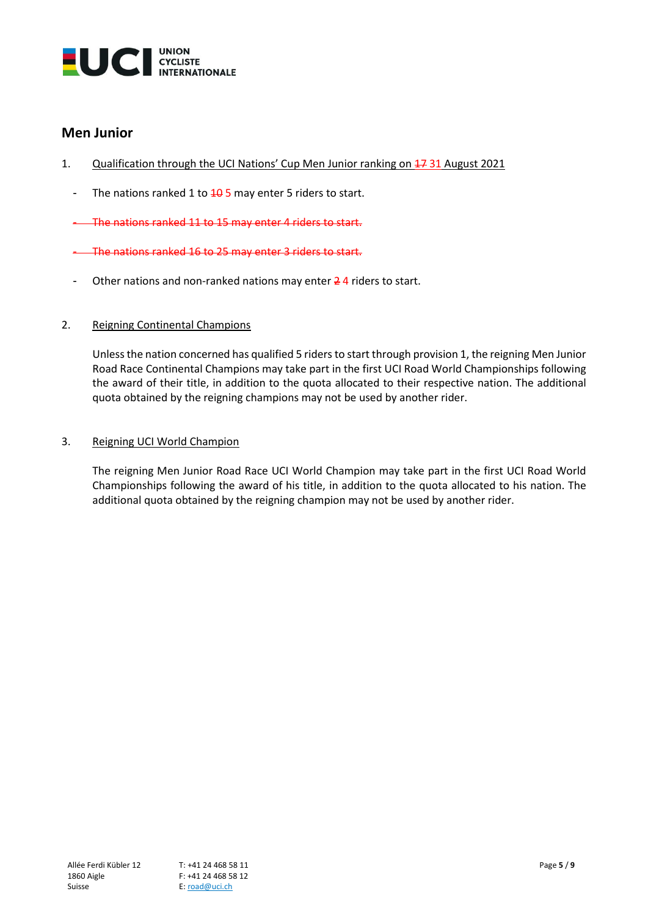

# **Men Junior**

- 1. Qualification through the UCI Nations' Cup Men Junior ranking on 17 31 August 2021
	- The nations ranked 1 to  $\frac{10}{5}$  may enter 5 riders to start.

- The nations ranked 11 to 15 may enter 4 riders to start.

- The nations ranked 16 to 25 may enter 3 riders to start.
- Other nations and non-ranked nations may enter 24 riders to start.

# 2. Reigning Continental Champions

Unless the nation concerned has qualified 5 riders to start through provision 1, the reigning Men Junior Road Race Continental Champions may take part in the first UCI Road World Championships following the award of their title, in addition to the quota allocated to their respective nation. The additional quota obtained by the reigning champions may not be used by another rider.

## 3. Reigning UCI World Champion

The reigning Men Junior Road Race UCI World Champion may take part in the first UCI Road World Championships following the award of his title, in addition to the quota allocated to his nation. The additional quota obtained by the reigning champion may not be used by another rider.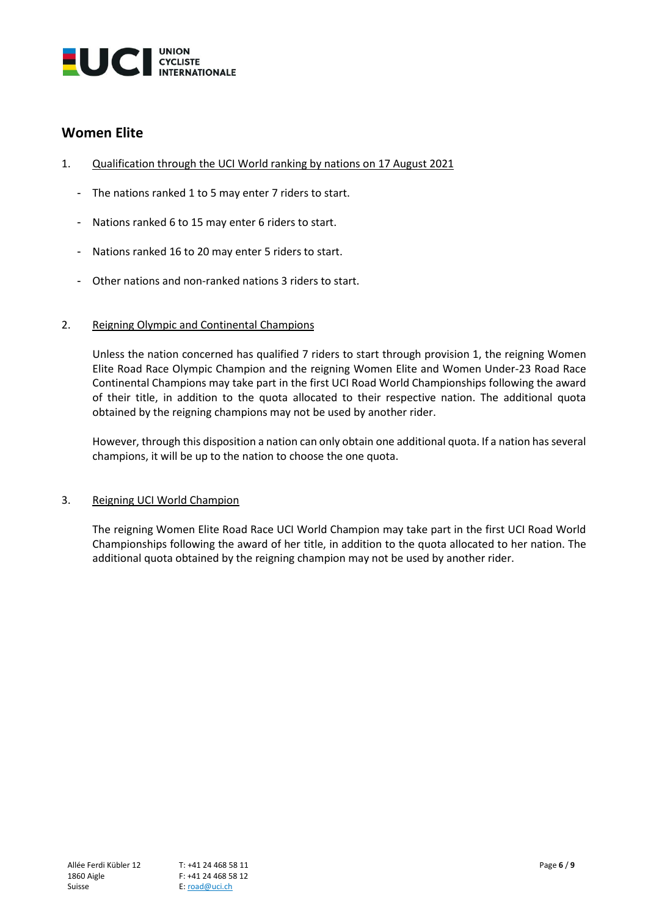

# **Women Elite**

- 1. Qualification through the UCI World ranking by nations on 17 August 2021
	- The nations ranked 1 to 5 may enter 7 riders to start.
	- Nations ranked 6 to 15 may enter 6 riders to start.
	- Nations ranked 16 to 20 may enter 5 riders to start.
	- Other nations and non-ranked nations 3 riders to start.

## 2. Reigning Olympic and Continental Champions

Unless the nation concerned has qualified 7 riders to start through provision 1, the reigning Women Elite Road Race Olympic Champion and the reigning Women Elite and Women Under-23 Road Race Continental Champions may take part in the first UCI Road World Championships following the award of their title, in addition to the quota allocated to their respective nation. The additional quota obtained by the reigning champions may not be used by another rider.

However, through this disposition a nation can only obtain one additional quota. If a nation has several champions, it will be up to the nation to choose the one quota.

## 3. Reigning UCI World Champion

The reigning Women Elite Road Race UCI World Champion may take part in the first UCI Road World Championships following the award of her title, in addition to the quota allocated to her nation. The additional quota obtained by the reigning champion may not be used by another rider.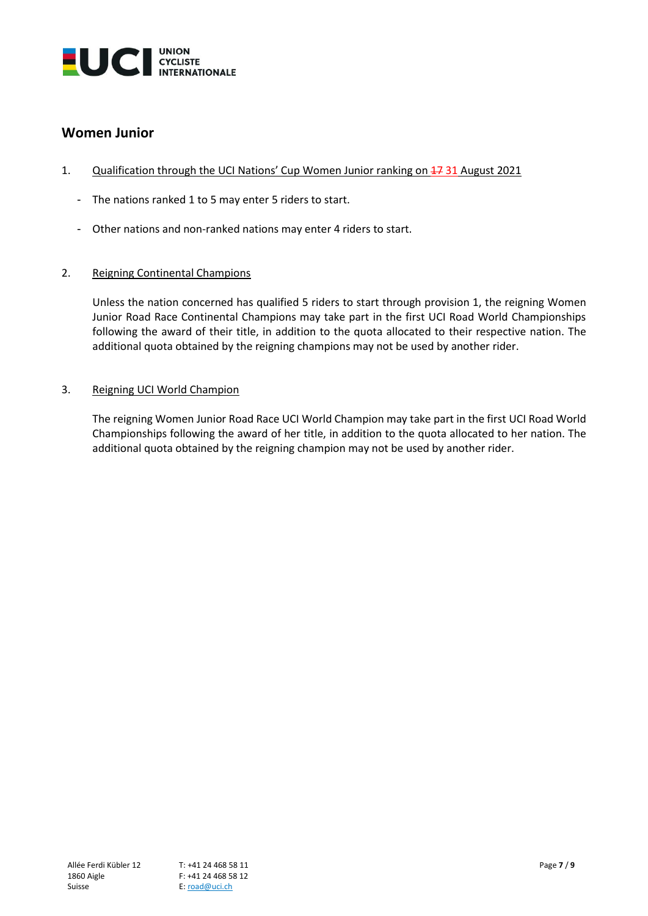

# **Women Junior**

- 1. Qualification through the UCI Nations' Cup Women Junior ranking on 17 31 August 2021
	- The nations ranked 1 to 5 may enter 5 riders to start.
	- Other nations and non-ranked nations may enter 4 riders to start.
- 2. Reigning Continental Champions

Unless the nation concerned has qualified 5 riders to start through provision 1, the reigning Women Junior Road Race Continental Champions may take part in the first UCI Road World Championships following the award of their title, in addition to the quota allocated to their respective nation. The additional quota obtained by the reigning champions may not be used by another rider.

3. Reigning UCI World Champion

The reigning Women Junior Road Race UCI World Champion may take part in the first UCI Road World Championships following the award of her title, in addition to the quota allocated to her nation. The additional quota obtained by the reigning champion may not be used by another rider.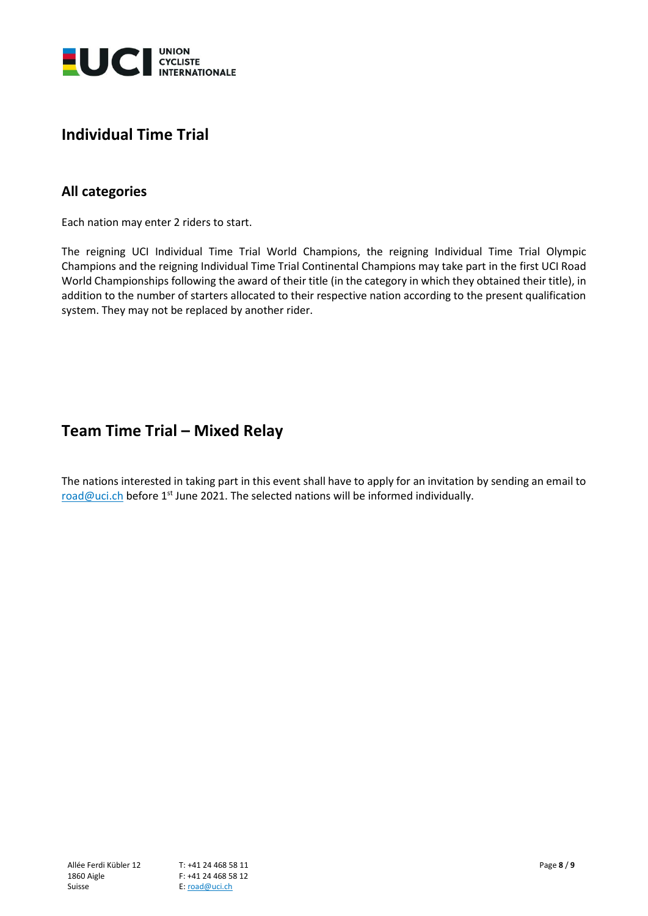

# **Individual Time Trial**

# **All categories**

Each nation may enter 2 riders to start.

The reigning UCI Individual Time Trial World Champions, the reigning Individual Time Trial Olympic Champions and the reigning Individual Time Trial Continental Champions may take part in the first UCI Road World Championships following the award of their title (in the category in which they obtained their title), in addition to the number of starters allocated to their respective nation according to the present qualification system. They may not be replaced by another rider.

# **Team Time Trial – Mixed Relay**

The nations interested in taking part in this event shall have to apply for an invitation by sending an email to  $\frac{\text{road@uci.ch}}{\text{height}}$  $\frac{\text{road@uci.ch}}{\text{height}}$  $\frac{\text{road@uci.ch}}{\text{height}}$  before 1st June 2021. The selected nations will be informed individually.